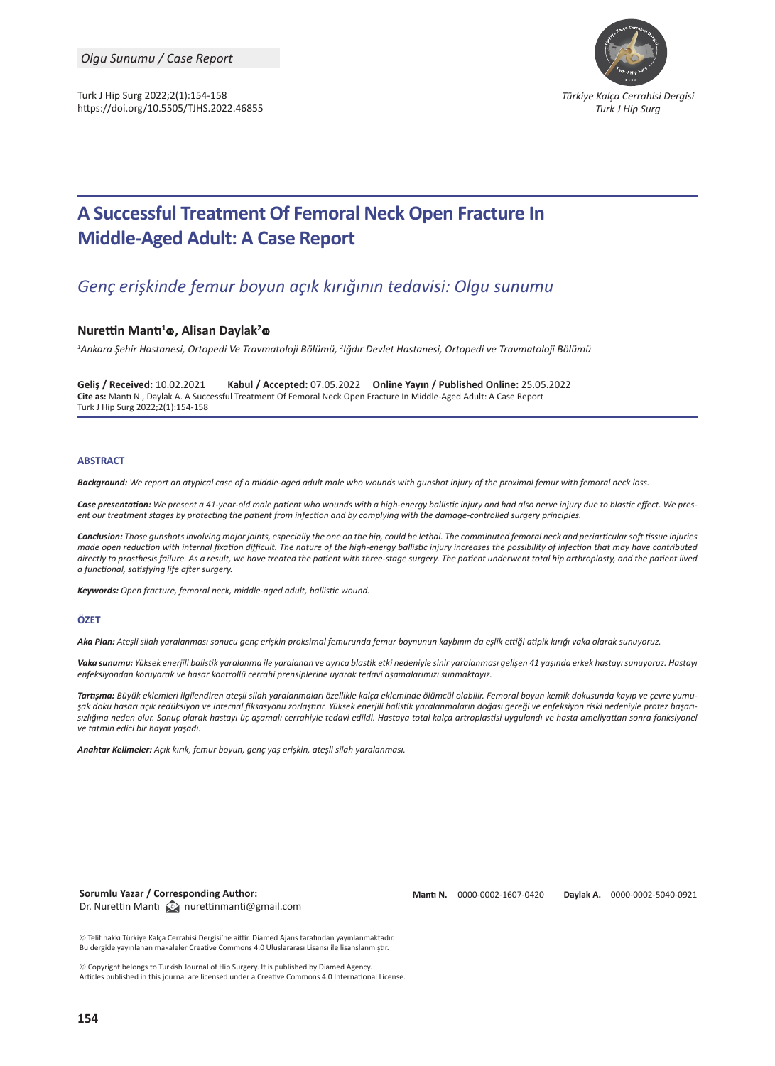Turk J Hip Surg 2022;2(1):154-158 https://doi.org/10.5505/TJHS.2022.46855



# **A Successful Treatment Of Femoral Neck Open Fracture In Middle-Aged Adult: A Case Report**

## *Genç erişkinde femur boyun açık kırığının tedavisi: Olgu sunumu*

#### $N$ **urettin Mantı<sup>1</sup>©, Alisan Daylak<sup>2</sup>©**

*1 Ankara Şehir Hastanesi, Ortopedi Ve Travmatoloji Bölümü, <sup>2</sup> Iğdır Devlet Hastanesi, Ortopedi ve Travmatoloji Bölümü*

**Geliş / Received:** 10.02.2021 **Kabul / Accepted:** 07.05.2022 **Online Yayın / Published Online:** 25.05.2022 **Cite as:** Mantı N., Daylak A. A Successful Treatment Of Femoral Neck Open Fracture In Middle-Aged Adult: A Case Report Turk J Hip Surg 2022;2(1):154-158

#### **ABSTRACT**

*Background: We report an atypical case of a middle-aged adult male who wounds with gunshot injury of the proximal femur with femoral neck loss.*

*Case presentation: We present a 41-year-old male patient who wounds with a high-energy ballistic injury and had also nerve injury due to blastic effect. We present our treatment stages by protecting the patient from infection and by complying with the damage-controlled surgery principles.*

*Conclusion: Those gunshots involving major joints, especially the one on the hip, could be lethal. The comminuted femoral neck and periarticular soft tissue injuries made open reduction with internal fixation difficult. The nature of the high-energy ballistic injury increases the possibility of infection that may have contributed*  directly to prosthesis failure. As a result, we have treated the patient with three-stage surgery. The patient underwent total hip arthroplasty, and the patient lived *a functional, satisfying life after surgery.*

*Keywords: Open fracture, femoral neck, middle-aged adult, ballistic wound.* 

#### **ÖZET**

*Aka Plan: Ateşli silah yaralanması sonucu genç erişkin proksimal femurunda femur boynunun kaybının da eşlik ettiği atipik kırığı vaka olarak sunuyoruz.*

*Vaka sunumu: Yüksek enerjili balistik yaralanma ile yaralanan ve ayrıca blastik etki nedeniyle sinir yaralanması gelişen 41 yaşında erkek hastayı sunuyoruz. Hastayı enfeksiyondan koruyarak ve hasar kontrollü cerrahi prensiplerine uyarak tedavi aşamalarımızı sunmaktayız.*

*Tartışma: Büyük eklemleri ilgilendiren ateşli silah yaralanmaları özellikle kalça ekleminde ölümcül olabilir. Femoral boyun kemik dokusunda kayıp ve çevre yumuşak doku hasarı açık redüksiyon ve internal fiksasyonu zorlaştırır. Yüksek enerjili balistik yaralanmaların doğası gereği ve enfeksiyon riski nedeniyle protez başarısızlığına neden olur. Sonuç olarak hastayı üç aşamalı cerrahiyle tedavi edildi. Hastaya total kalça artroplastisi uygulandı ve hasta ameliyattan sonra fonksiyonel ve tatmin edici bir hayat yaşadı.*

*Anahtar Kelimeler: Açık kırık, femur boyun, genç yaş erişkin, ateşli silah yaralanması.*

**Sorumlu Yazar / Corresponding Author:**  Dr. Nurettin Mantı **Q**nurettinmanti@gmail.com **Mantı N.** [0000-0002-1607-0420](https://orcid.org/0000-0002-1607-0420) **Daylak A.** [0000-0002-5040-0921](https://orcid.org/0000-0002-5040-0921)

 Telif hakkı Türkiye Kalça Cerrahisi Dergisi'ne aittir. Diamed Ajans tarafından yayınlanmaktadır. Bu dergide yayınlanan makaleler Creative Commons 4.0 Uluslararası Lisansı ile lisanslanmıştır.

 Copyright belongs to Turkish Journal of Hip Surgery. It is published by Diamed Agency. Articles published in this journal are licensed under a Creative Commons 4.0 International License.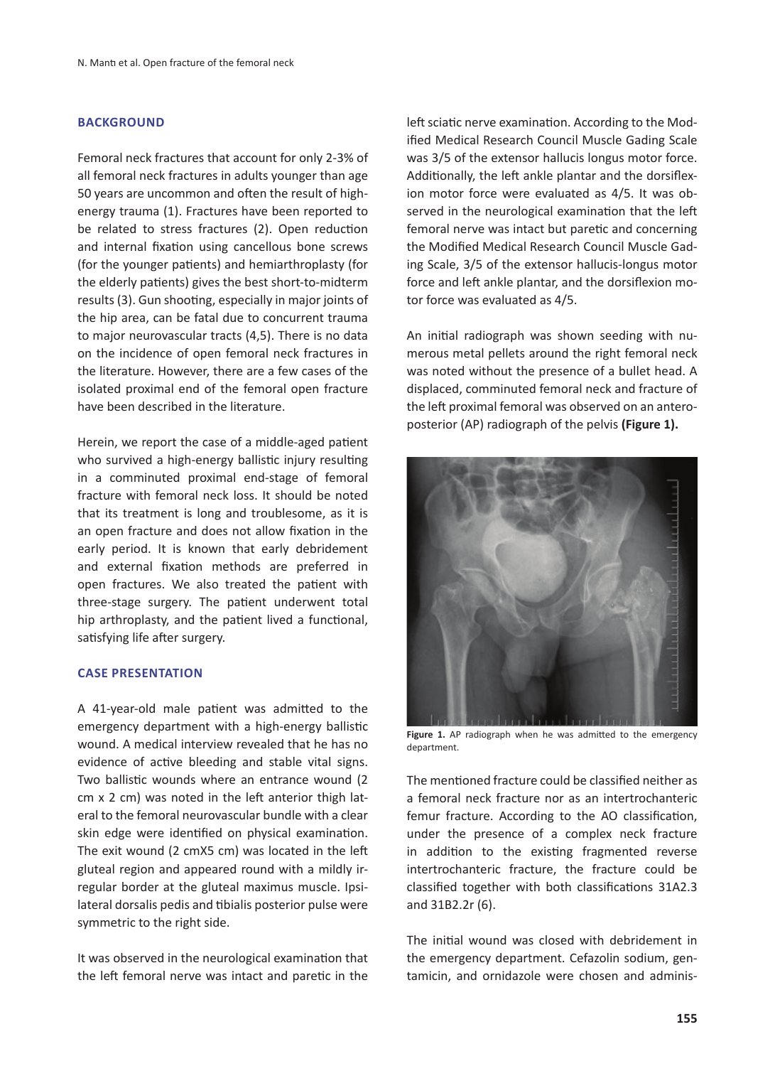## **BACKGROUND**

Femoral neck fractures that account for only 2-3% of all femoral neck fractures in adults younger than age 50 years are uncommon and often the result of highenergy trauma (1). Fractures have been reported to be related to stress fractures (2). Open reduction and internal fixation using cancellous bone screws (for the younger patients) and hemiarthroplasty (for the elderly patients) gives the best short-to-midterm results (3). Gun shooting, especially in major joints of the hip area, can be fatal due to concurrent trauma to major neurovascular tracts (4,5). There is no data on the incidence of open femoral neck fractures in the literature. However, there are a few cases of the isolated proximal end of the femoral open fracture have been described in the literature.

Herein, we report the case of a middle-aged patient who survived a high-energy ballistic injury resulting in a comminuted proximal end-stage of femoral fracture with femoral neck loss. It should be noted that its treatment is long and troublesome, as it is an open fracture and does not allow fixation in the early period. It is known that early debridement and external fixation methods are preferred in open fractures. We also treated the patient with three-stage surgery. The patient underwent total hip arthroplasty, and the patient lived a functional, satisfying life after surgery.

## **CASE PRESENTATION**

A 41-year-old male patient was admitted to the emergency department with a high-energy ballistic wound. A medical interview revealed that he has no evidence of active bleeding and stable vital signs. Two ballistic wounds where an entrance wound (2 cm x 2 cm) was noted in the left anterior thigh lateral to the femoral neurovascular bundle with a clear skin edge were identified on physical examination. The exit wound (2 cmX5 cm) was located in the left gluteal region and appeared round with a mildly irregular border at the gluteal maximus muscle. Ipsilateral dorsalis pedis and tibialis posterior pulse were symmetric to the right side.

It was observed in the neurological examination that the left femoral nerve was intact and paretic in the left sciatic nerve examination. According to the Modified Medical Research Council Muscle Gading Scale was 3/5 of the extensor hallucis longus motor force. Additionally, the left ankle plantar and the dorsiflexion motor force were evaluated as 4/5. It was observed in the neurological examination that the left femoral nerve was intact but paretic and concerning the Modified Medical Research Council Muscle Gading Scale, 3/5 of the extensor hallucis-longus motor force and left ankle plantar, and the dorsiflexion motor force was evaluated as 4/5.

An initial radiograph was shown seeding with numerous metal pellets around the right femoral neck was noted without the presence of a bullet head. A displaced, comminuted femoral neck and fracture of the left proximal femoral was observed on an anteroposterior (AP) radiograph of the pelvis **(Figure 1).**



Figure 1. AP radiograph when he was admitted to the emergency department.

The mentioned fracture could be classified neither as a femoral neck fracture nor as an intertrochanteric femur fracture. According to the AO classification, under the presence of a complex neck fracture in addition to the existing fragmented reverse intertrochanteric fracture, the fracture could be classified together with both classifications 31A2.3 and 31B2.2r (6).

The initial wound was closed with debridement in the emergency department. Cefazolin sodium, gentamicin, and ornidazole were chosen and adminis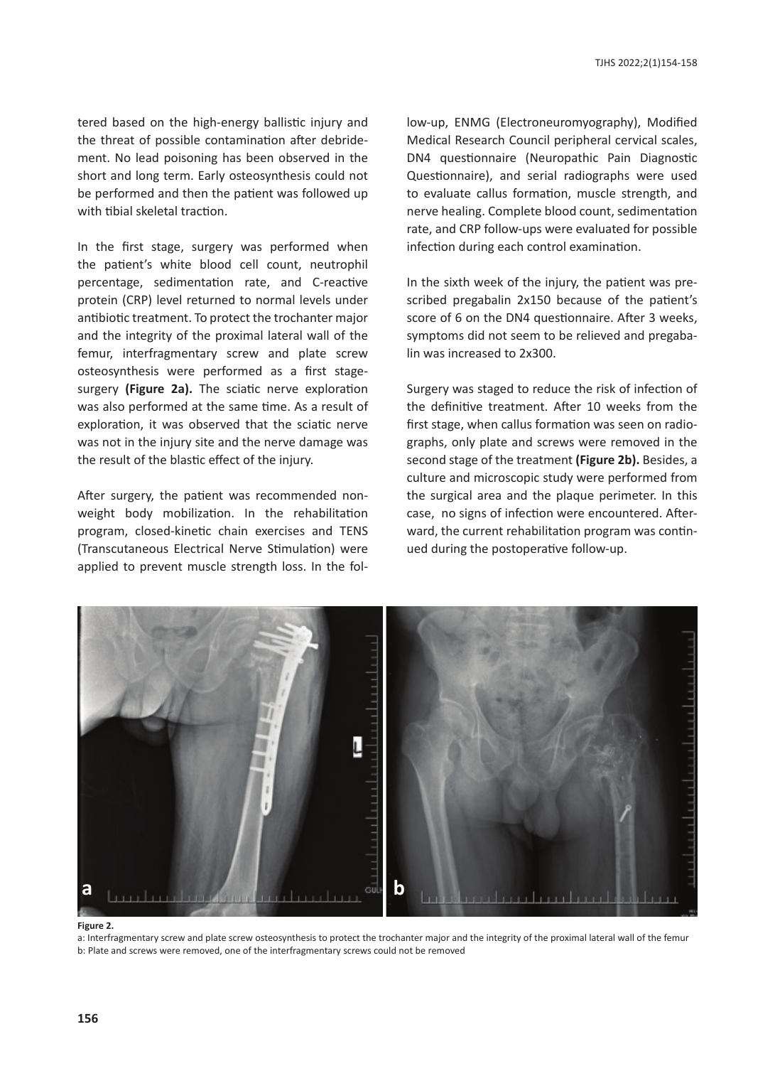tered based on the high-energy ballistic injury and the threat of possible contamination after debridement. No lead poisoning has been observed in the short and long term. Early osteosynthesis could not be performed and then the patient was followed up with tibial skeletal traction.

a femur, interfragmentary screw and plate screw In the first stage, surgery was performed when the patient's white blood cell count, neutrophil percentage, sedimentation rate, and C-reactive protein (CRP) level returned to normal levels under antibiotic treatment. To protect the trochanter major and the integrity of the proximal lateral wall of the osteosynthesis were performed as a first stagesurgery **(Figure 2a).** The sciatic nerve exploration was also performed at the same time. As a result of exploration, it was observed that the sciatic nerve was not in the injury site and the nerve damage was the result of the blastic effect of the injury.

After surgery, the patient was recommended nonweight body mobilization. In the rehabilitation program, closed-kinetic chain exercises and TENS (Transcutaneous Electrical Nerve Stimulation) were applied to prevent muscle strength loss. In the follow-up, ENMG (Electroneuromyography), Modified Medical Research Council peripheral cervical scales, DN4 questionnaire (Neuropathic Pain Diagnostic Questionnaire), and serial radiographs were used to evaluate callus formation, muscle strength, and nerve healing. Complete blood count, sedimentation rate, and CRP follow-ups were evaluated for possible infection during each control examination.

In the sixth week of the injury, the patient was prescribed pregabalin 2x150 because of the patient's score of 6 on the DN4 questionnaire. After 3 weeks, symptoms did not seem to be relieved and pregabalin was increased to 2x300.

Surgery was staged to reduce the risk of infection of the definitive treatment. After 10 weeks from the first stage, when callus formation was seen on radiographs, only plate and screws were removed in the second stage of the treatment **(Figure 2b).** Besides, a culture and microscopic study were performed from the surgical area and the plaque perimeter. In this case, no signs of infection were encountered. Afterward, the current rehabilitation program was continued during the postoperative follow-up.



**Figure 2.**

a: Interfragmentary screw and plate screw osteosynthesis to protect the trochanter major and the integrity of the proximal lateral wall of the femur b: Plate and screws were removed, one of the interfragmentary screws could not be removed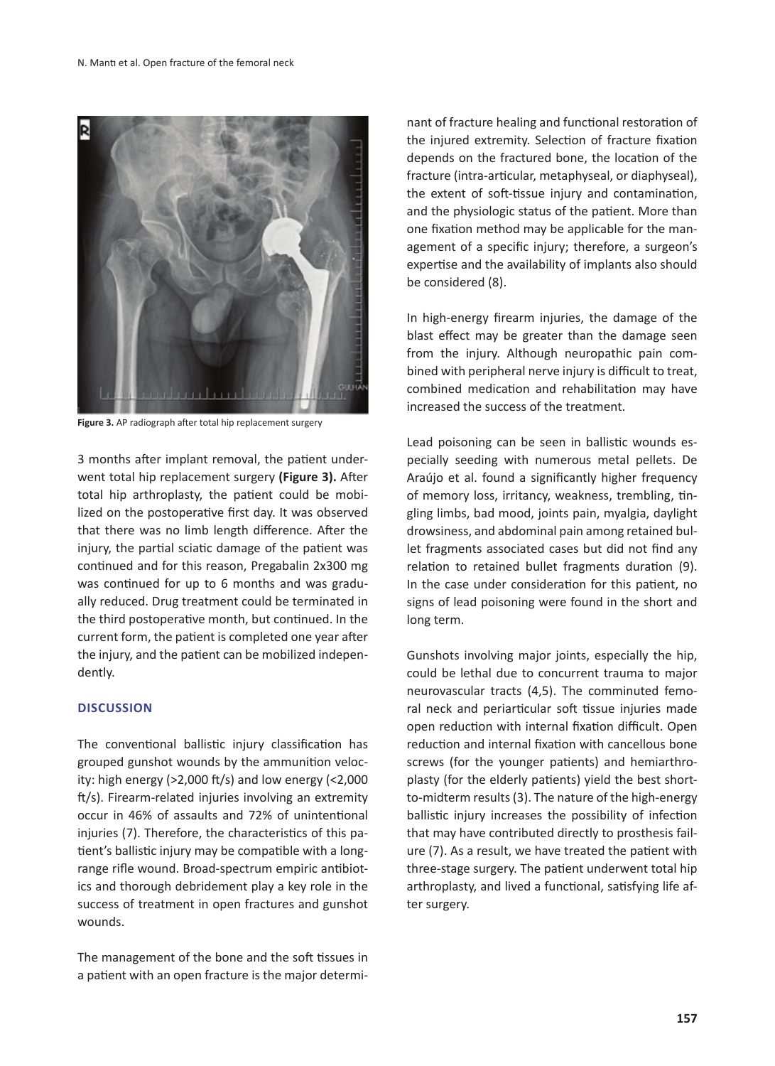![](_page_3_Picture_1.jpeg)

**Figure 3.** AP radiograph after total hip replacement surgery

3 months after implant removal, the patient underwent total hip replacement surgery **(Figure 3).** After total hip arthroplasty, the patient could be mobilized on the postoperative first day. It was observed that there was no limb length difference. After the injury, the partial sciatic damage of the patient was continued and for this reason, Pregabalin 2x300 mg was continued for up to 6 months and was gradually reduced. Drug treatment could be terminated in the third postoperative month, but continued. In the current form, the patient is completed one year after the injury, and the patient can be mobilized independently.

#### **DISCUSSION**

The conventional ballistic injury classification has grouped gunshot wounds by the ammunition velocity: high energy (>2,000 ft/s) and low energy (<2,000 ft/s). Firearm-related injuries involving an extremity occur in 46% of assaults and 72% of unintentional injuries (7). Therefore, the characteristics of this patient's ballistic injury may be compatible with a longrange rifle wound. Broad-spectrum empiric antibiotics and thorough debridement play a key role in the success of treatment in open fractures and gunshot wounds.

The management of the bone and the soft tissues in a patient with an open fracture is the major determinant of fracture healing and functional restoration of the injured extremity. Selection of fracture fixation depends on the fractured bone, the location of the fracture (intra-articular, metaphyseal, or diaphyseal), the extent of soft-tissue injury and contamination, and the physiologic status of the patient. More than one fixation method may be applicable for the management of a specific injury; therefore, a surgeon's expertise and the availability of implants also should be considered (8).

In high-energy firearm injuries, the damage of the blast effect may be greater than the damage seen from the injury. Although neuropathic pain combined with peripheral nerve injury is difficult to treat, combined medication and rehabilitation may have increased the success of the treatment.

Lead poisoning can be seen in ballistic wounds especially seeding with numerous metal pellets. De Araújo et al. found a significantly higher frequency of memory loss, irritancy, weakness, trembling, tingling limbs, bad mood, joints pain, myalgia, daylight drowsiness, and abdominal pain among retained bullet fragments associated cases but did not find any relation to retained bullet fragments duration (9). In the case under consideration for this patient, no signs of lead poisoning were found in the short and long term.

Gunshots involving major joints, especially the hip, could be lethal due to concurrent trauma to major neurovascular tracts (4,5). The comminuted femoral neck and periarticular soft tissue injuries made open reduction with internal fixation difficult. Open reduction and internal fixation with cancellous bone screws (for the younger patients) and hemiarthroplasty (for the elderly patients) yield the best shortto-midterm results (3). The nature of the high-energy ballistic injury increases the possibility of infection that may have contributed directly to prosthesis failure (7). As a result, we have treated the patient with three-stage surgery. The patient underwent total hip arthroplasty, and lived a functional, satisfying life after surgery.